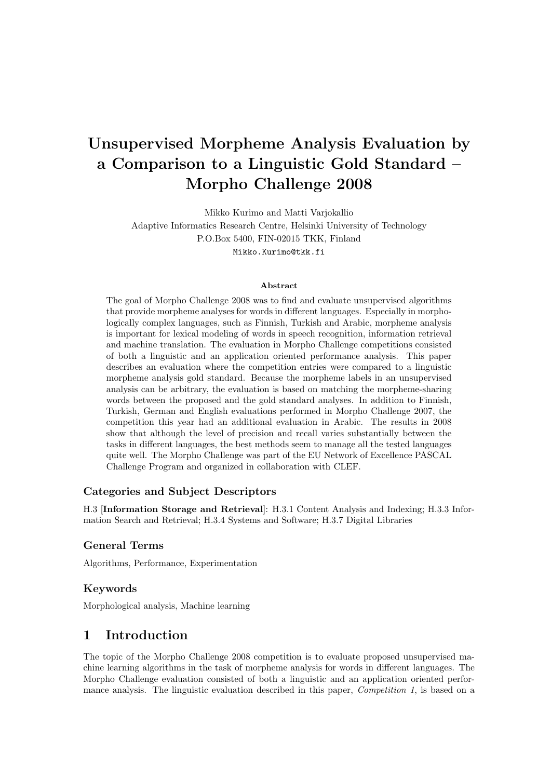# Unsupervised Morpheme Analysis Evaluation by a Comparison to a Linguistic Gold Standard – Morpho Challenge 2008

Mikko Kurimo and Matti Varjokallio Adaptive Informatics Research Centre, Helsinki University of Technology P.O.Box 5400, FIN-02015 TKK, Finland Mikko.Kurimo@tkk.fi

#### Abstract

The goal of Morpho Challenge 2008 was to find and evaluate unsupervised algorithms that provide morpheme analyses for words in different languages. Especially in morphologically complex languages, such as Finnish, Turkish and Arabic, morpheme analysis is important for lexical modeling of words in speech recognition, information retrieval and machine translation. The evaluation in Morpho Challenge competitions consisted of both a linguistic and an application oriented performance analysis. This paper describes an evaluation where the competition entries were compared to a linguistic morpheme analysis gold standard. Because the morpheme labels in an unsupervised analysis can be arbitrary, the evaluation is based on matching the morpheme-sharing words between the proposed and the gold standard analyses. In addition to Finnish, Turkish, German and English evaluations performed in Morpho Challenge 2007, the competition this year had an additional evaluation in Arabic. The results in 2008 show that although the level of precision and recall varies substantially between the tasks in different languages, the best methods seem to manage all the tested languages quite well. The Morpho Challenge was part of the EU Network of Excellence PASCAL Challenge Program and organized in collaboration with CLEF.

#### Categories and Subject Descriptors

H.3 [Information Storage and Retrieval]: H.3.1 Content Analysis and Indexing; H.3.3 Information Search and Retrieval; H.3.4 Systems and Software; H.3.7 Digital Libraries

#### General Terms

Algorithms, Performance, Experimentation

#### Keywords

Morphological analysis, Machine learning

# 1 Introduction

The topic of the Morpho Challenge 2008 competition is to evaluate proposed unsupervised machine learning algorithms in the task of morpheme analysis for words in different languages. The Morpho Challenge evaluation consisted of both a linguistic and an application oriented performance analysis. The linguistic evaluation described in this paper, *Competition 1*, is based on a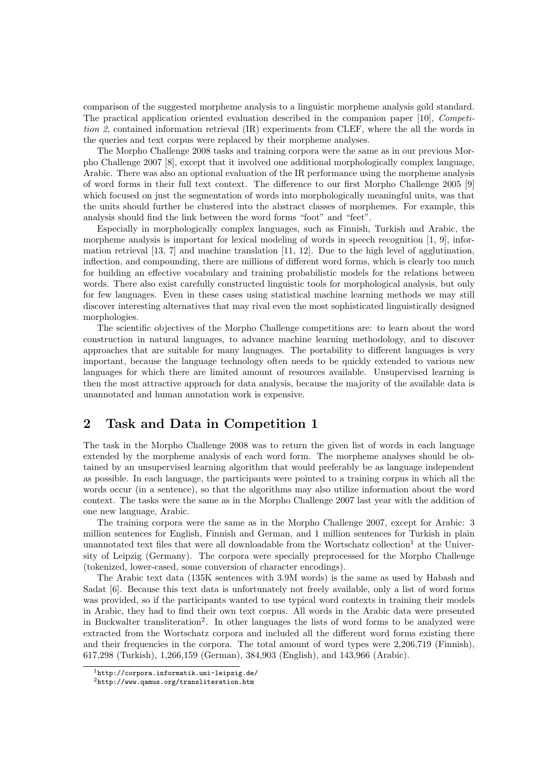comparison of the suggested morpheme analysis to a linguistic morpheme analysis gold standard. The practical application oriented evaluation described in the companion paper [10], Competition 2, contained information retrieval (IR) experiments from CLEF, where the all the words in the queries and text corpus were replaced by their morpheme analyses.

The Morpho Challenge 2008 tasks and training corpora were the same as in our previous Morpho Challenge 2007 [8], except that it involved one additional morphologically complex language, Arabic. There was also an optional evaluation of the IR performance using the morpheme analysis of word forms in their full text context. The difference to our first Morpho Challenge 2005 [9] which focused on just the segmentation of words into morphologically meaningful units, was that the units should further be clustered into the abstract classes of morphemes. For example, this analysis should find the link between the word forms "foot" and "feet".

Especially in morphologically complex languages, such as Finnish, Turkish and Arabic, the morpheme analysis is important for lexical modeling of words in speech recognition [1, 9], information retrieval  $[13, 7]$  and machine translation  $[11, 12]$ . Due to the high level of agglutination, inflection, and compounding, there are millions of different word forms, which is clearly too much for building an effective vocabulary and training probabilistic models for the relations between words. There also exist carefully constructed linguistic tools for morphological analysis, but only for few languages. Even in these cases using statistical machine learning methods we may still discover interesting alternatives that may rival even the most sophisticated linguistically designed morphologies.

The scientific objectives of the Morpho Challenge competitions are: to learn about the word construction in natural languages, to advance machine learning methodology, and to discover approaches that are suitable for many languages. The portability to different languages is very important, because the language technology often needs to be quickly extended to various new languages for which there are limited amount of resources available. Unsupervised learning is then the most attractive approach for data analysis, because the majority of the available data is unannotated and human annotation work is expensive.

### 2 Task and Data in Competition 1

The task in the Morpho Challenge 2008 was to return the given list of words in each language extended by the morpheme analysis of each word form. The morpheme analyses should be obtained by an unsupervised learning algorithm that would preferably be as language independent as possible. In each language, the participants were pointed to a training corpus in which all the words occur (in a sentence), so that the algorithms may also utilize information about the word context. The tasks were the same as in the Morpho Challenge 2007 last year with the addition of one new language, Arabic.

The training corpora were the same as in the Morpho Challenge 2007, except for Arabic: 3 million sentences for English, Finnish and German, and 1 million sentences for Turkish in plain unannotated text files that were all downloadable from the Wortschatz collection<sup>1</sup> at the University of Leipzig (Germany). The corpora were specially preprocessed for the Morpho Challenge (tokenized, lower-cased, some conversion of character encodings).

The Arabic text data (135K sentences with 3.9M words) is the same as used by Habash and Sadat [6]. Because this text data is unfortunately not freely available, only a list of word forms was provided, so if the participants wanted to use typical word contexts in training their models in Arabic, they had to find their own text corpus. All words in the Arabic data were presented in Buckwalter transliteration<sup>2</sup>. In other languages the lists of word forms to be analyzed were extracted from the Wortschatz corpora and included all the different word forms existing there and their frequencies in the corpora. The total amount of word types were 2,206,719 (Finnish), 617,298 (Turkish), 1,266,159 (German), 384,903 (English), and 143,966 (Arabic).

<sup>1</sup>http://corpora.informatik.uni-leipzig.de/

<sup>2</sup>http://www.qamus.org/transliteration.htm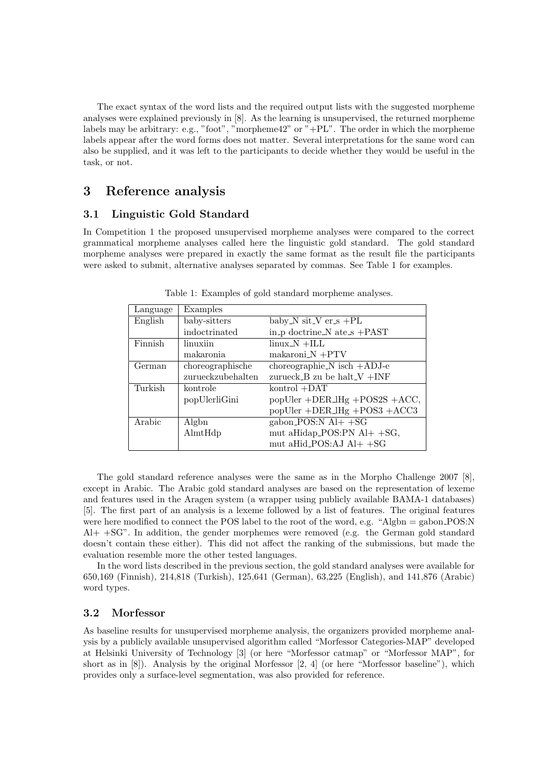The exact syntax of the word lists and the required output lists with the suggested morpheme analyses were explained previously in [8]. As the learning is unsupervised, the returned morpheme labels may be arbitrary: e.g., "foot", "morpheme42" or "+PL". The order in which the morpheme labels appear after the word forms does not matter. Several interpretations for the same word can also be supplied, and it was left to the participants to decide whether they would be useful in the task, or not.

### 3 Reference analysis

#### 3.1 Linguistic Gold Standard

In Competition 1 the proposed unsupervised morpheme analyses were compared to the correct grammatical morpheme analyses called here the linguistic gold standard. The gold standard morpheme analyses were prepared in exactly the same format as the result file the participants were asked to submit, alternative analyses separated by commas. See Table 1 for examples.

| Language | Examples          |                                            |
|----------|-------------------|--------------------------------------------|
| English  | baby-sitters      | baby $N \text{ sit}_V \text{ er}_s + PL$   |
|          | indoctrinated     | in_p doctrine_N ate_s +PAST                |
| Finnish  | linuxiin          | $\lim_{x \to 0}$ +ILL                      |
|          | makaronia         | $\text{makanoni}\_\text{N} + \text{PTV}$   |
| German   | choreographische  | choreographie_ $N$ isch $+ADJ-e$           |
|          | zurueckzubehalten | zurueck_B zu be halt_V $+$ INF             |
| Turkish  | kontrole          | $kontrol + DAT$                            |
|          | popUlerliGini     | popUler + $DER$ _ $Hg$ + $POS2S$ + $ACC$ , |
|          |                   | $popUler + DER_IHg + POS3 + ACC3$          |
| Arabic   | Algbn             | gabon_POS:N $\text{Al}+ + \text{SG}$       |
|          | AlmtHdp           | mut aHidap_POS:PN $Al+$ +SG,               |
|          |                   | mut aHid POS: AJ $Al+$ +SG                 |

Table 1: Examples of gold standard morpheme analyses.

The gold standard reference analyses were the same as in the Morpho Challenge 2007 [8], except in Arabic. The Arabic gold standard analyses are based on the representation of lexeme and features used in the Aragen system (a wrapper using publicly available BAMA-1 databases) [5]. The first part of an analysis is a lexeme followed by a list of features. The original features were here modified to connect the POS label to the root of the word, e.g. "Algbn = gabon\_POS:N  $Al++SG$ ". In addition, the gender morphemes were removed (e.g. the German gold standard doesn't contain these either). This did not affect the ranking of the submissions, but made the evaluation resemble more the other tested languages.

In the word lists described in the previous section, the gold standard analyses were available for 650,169 (Finnish), 214,818 (Turkish), 125,641 (German), 63,225 (English), and 141,876 (Arabic) word types.

#### 3.2 Morfessor

As baseline results for unsupervised morpheme analysis, the organizers provided morpheme analysis by a publicly available unsupervised algorithm called "Morfessor Categories-MAP" developed at Helsinki University of Technology [3] (or here "Morfessor catmap" or "Morfessor MAP", for short as in [8]). Analysis by the original Morfessor [2, 4] (or here "Morfessor baseline"), which provides only a surface-level segmentation, was also provided for reference.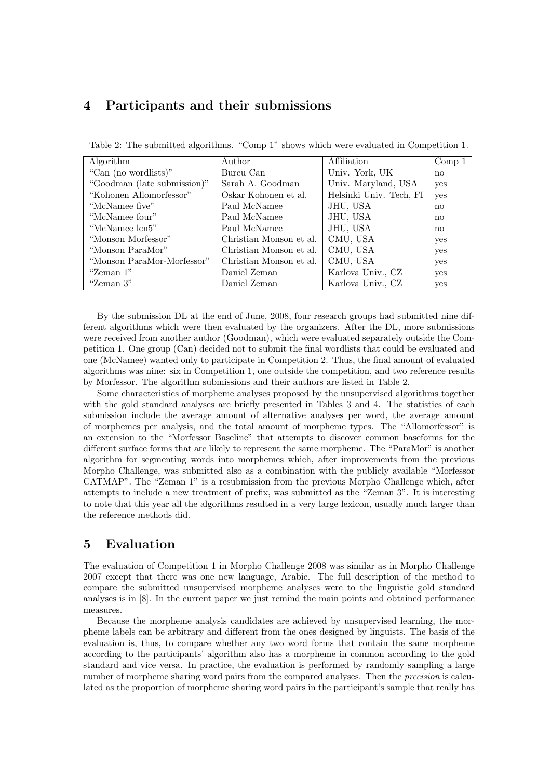# 4 Participants and their submissions

| Algorithm                   | Author                  | Affiliation             | Comp <sub>1</sub> |
|-----------------------------|-------------------------|-------------------------|-------------------|
| "Can (no wordlists)"        | Burcu Can               | Univ. York, UK          | $\mathbf{n}$      |
| "Goodman (late submission)" | Sarah A. Goodman        | Univ. Maryland, USA     | yes               |
| "Kohonen Allomorfessor"     | Oskar Kohonen et al.    | Helsinki Univ. Tech, FI | yes               |
| "McNamee five"              | Paul McNamee            | JHU, USA                | no                |
| "McNamee four"              | Paul McNamee            | JHU, USA                | no                |
| "McNamee lcn5"              | Paul McNamee            | JHU, USA                | $\mathbf{n}$      |
| "Monson Morfessor"          | Christian Monson et al. | CMU, USA                | yes               |
| "Monson ParaMor"            | Christian Monson et al. | CMU, USA                | yes               |
| "Monson ParaMor-Morfessor"  | Christian Monson et al. | CMU, USA                | yes               |
| "Zeman 1"                   | Daniel Zeman            | Karlova Univ., CZ       | yes               |
| "Zeman 3"                   | Daniel Zeman            | Karlova Univ., CZ       | yes               |

Table 2: The submitted algorithms. "Comp 1" shows which were evaluated in Competition 1.

By the submission DL at the end of June, 2008, four research groups had submitted nine different algorithms which were then evaluated by the organizers. After the DL, more submissions were received from another author (Goodman), which were evaluated separately outside the Competition 1. One group (Can) decided not to submit the final wordlists that could be evaluated and one (McNamee) wanted only to participate in Competition 2. Thus, the final amount of evaluated algorithms was nine: six in Competition 1, one outside the competition, and two reference results by Morfessor. The algorithm submissions and their authors are listed in Table 2.

Some characteristics of morpheme analyses proposed by the unsupervised algorithms together with the gold standard analyses are briefly presented in Tables 3 and 4. The statistics of each submission include the average amount of alternative analyses per word, the average amount of morphemes per analysis, and the total amount of morpheme types. The "Allomorfessor" is an extension to the "Morfessor Baseline" that attempts to discover common baseforms for the different surface forms that are likely to represent the same morpheme. The "ParaMor" is another algorithm for segmenting words into morphemes which, after improvements from the previous Morpho Challenge, was submitted also as a combination with the publicly available "Morfessor CATMAP". The "Zeman 1" is a resubmission from the previous Morpho Challenge which, after attempts to include a new treatment of prefix, was submitted as the "Zeman 3". It is interesting to note that this year all the algorithms resulted in a very large lexicon, usually much larger than the reference methods did.

### 5 Evaluation

The evaluation of Competition 1 in Morpho Challenge 2008 was similar as in Morpho Challenge 2007 except that there was one new language, Arabic. The full description of the method to compare the submitted unsupervised morpheme analyses were to the linguistic gold standard analyses is in [8]. In the current paper we just remind the main points and obtained performance measures.

Because the morpheme analysis candidates are achieved by unsupervised learning, the morpheme labels can be arbitrary and different from the ones designed by linguists. The basis of the evaluation is, thus, to compare whether any two word forms that contain the same morpheme according to the participants' algorithm also has a morpheme in common according to the gold standard and vice versa. In practice, the evaluation is performed by randomly sampling a large number of morpheme sharing word pairs from the compared analyses. Then the *precision* is calculated as the proportion of morpheme sharing word pairs in the participant's sample that really has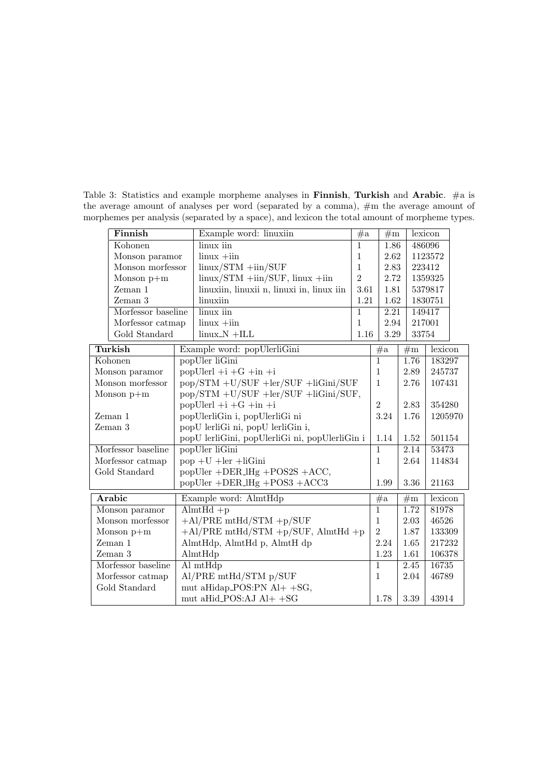|                    | Finnish            | Example word: linuxiin                                                                | #a                   | #m             |               | lexicon |  |
|--------------------|--------------------|---------------------------------------------------------------------------------------|----------------------|----------------|---------------|---------|--|
|                    | Kohonen            | linux iin                                                                             | 1                    | 1.86           |               | 486096  |  |
|                    | Monson paramor     | $\lim_{x \to \infty}$<br>$\mathbf{1}$                                                 |                      | 2.62           |               | 1123572 |  |
|                    | Monson morfessor   | $\text{linux}/\text{STM} + \text{lin}/\text{SUF}$                                     | $\mathbf{1}$         | 2.83           |               | 223412  |  |
|                    | Monson $p+m$       | $\overline{2}$<br>$\lim_{x \to 0}$ $\lim_{x \to 0}$ $\lim_{x \to 0}$ $\lim_{x \to 0}$ |                      | 2.72           |               | 1359325 |  |
|                    | Zeman 1            | linuxiin, linuxii n, linuxi in, linux iin                                             | 3.61                 | 1.81           |               | 5379817 |  |
|                    | Zeman 3            | linuxiin                                                                              | 1.21                 | 1.62           |               | 1830751 |  |
| Morfessor baseline |                    | linux iin<br>$\mathbf{1}$                                                             |                      | 2.21           |               | 149417  |  |
|                    | Morfessor catmap   | $\lim_{x \to \infty}$                                                                 | $\mathbf{1}$<br>2.94 |                |               | 217001  |  |
|                    | Gold Standard      | $\lim_{x \to 0}$ +ILL                                                                 | 1.16                 |                | 3.29<br>33754 |         |  |
|                    | Turkish            | Example word: popUlerliGini                                                           |                      | #a             | #m            | lexicon |  |
|                    | Kohonen            | popUler liGini                                                                        |                      | $\mathbf{1}$   | 1.76          | 183297  |  |
|                    | Monson paramor     | $popUlerl + i + G + in + i$                                                           |                      | $\mathbf{1}$   | 2.89          | 245737  |  |
|                    | Monson morfessor   | $pop/STM + U/SUF +ler/SUF +liGini/SUF$                                                |                      | $\mathbf{1}$   | 2.76          | 107431  |  |
|                    | Monson $p+m$       | $pop/STM + U/SUF +ler/SUF +liGini/SUF,$                                               |                      |                |               |         |  |
|                    |                    | $popUlerl + i + G + in + i$                                                           |                      | $\overline{2}$ | 2.83          | 354280  |  |
|                    | Zeman 1            | popUlerliGin i, popUlerliGi ni                                                        |                      | 3.24           | 1.76          | 1205970 |  |
|                    | Zeman 3            | popU lerliGi ni, popU lerliGin i,                                                     |                      |                |               |         |  |
|                    |                    | popU lerliGini, popUlerliGi ni, popUlerliGin i                                        |                      | 1.14           | 1.52          | 501154  |  |
|                    | Morfessor baseline | popUler liGini                                                                        |                      | $\mathbf{1}$   | 2.14          | 53473   |  |
|                    | Morfessor catmap   | $pop + U +ler +liGini$                                                                |                      | $\mathbf{1}$   | 2.64          | 114834  |  |
|                    | Gold Standard      | $popUler + DER_IHg + POS2S + ACC,$                                                    |                      |                |               |         |  |
|                    |                    | $popUler + DER_IHg + POS3 + ACC3$                                                     |                      | 1.99           | 3.36          | 21163   |  |
|                    | Arabic             | Example word: AlmtHdp                                                                 |                      | #a             | #m            | lexicon |  |
|                    | Monson paramor     | Almt $Hd + p$                                                                         |                      | 1              | 1.72          | 81978   |  |
|                    | Monson morfessor   | $+A1/PRE$ mtHd/STM +p/SUF                                                             |                      | $\mathbf{1}$   | 2.03          | 46526   |  |
|                    | Monson $p+m$       | $+A1/PRE$ mtHd/STM +p/SUF, AlmtHd +p                                                  |                      | $\overline{2}$ | 1.87          | 133309  |  |
|                    | Zeman 1            | AlmtHdp, AlmtHd p, AlmtH dp                                                           |                      | 2.24           | 1.65          | 217232  |  |
|                    | Zeman 3            | AlmtHdp                                                                               |                      | 1.23           | 1.61          | 106378  |  |
|                    | Morfessor baseline | Al mtHdp                                                                              |                      | $\mathbf{1}$   | 2.45          | 16735   |  |
|                    | Morfessor catmap   | Al/PRE mtHd/STM p/SUF                                                                 |                      | $\mathbf{1}$   | 2.04          | 46789   |  |
|                    | Gold Standard      | mut aHidap_POS:PN Al+ +SG,                                                            |                      |                |               |         |  |
|                    |                    | mut aHid_POS:AJ Al+ +SG                                                               |                      | 1.78           | 3.39          | 43914   |  |

Table 3: Statistics and example morpheme analyses in Finnish, Turkish and Arabic. #a is the average amount of analyses per word (separated by a comma), #m the average amount of morphemes per analysis (separated by a space), and lexicon the total amount of morpheme types.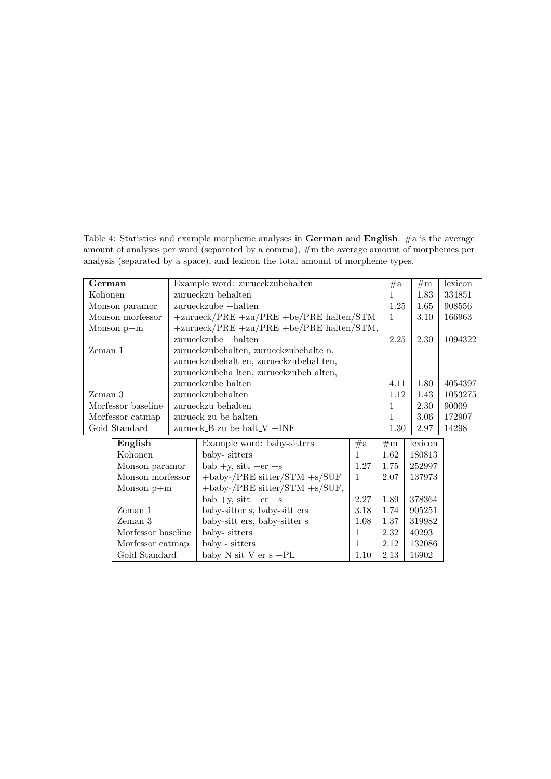Table 4: Statistics and example morpheme analyses in German and English. #a is the average amount of analyses per word (separated by a comma), #m the average amount of morphemes per analysis (separated by a space), and lexicon the total amount of morpheme types.

| German                                                       |                    |  | Example word: zurueckzubehalten                        |              | #a           | #m      | lexicon |
|--------------------------------------------------------------|--------------------|--|--------------------------------------------------------|--------------|--------------|---------|---------|
| Kohonen                                                      |                    |  | zurueckzu behalten                                     |              | $\mathbf{1}$ | 1.83    | 334851  |
|                                                              | Monson paramor     |  | zurueckzube +halten                                    |              | 1.25         | 1.65    | 908556  |
|                                                              | Monson morfessor   |  | $+z$ urueck/PRE $+z$ u/PRE $+be/PRE$ halten/STM        |              | $\mathbf{1}$ | 3.10    | 166963  |
| $+zurveck/PRE + zu/PRE + be/PRE$ halten/STM,<br>Monson $p+m$ |                    |  |                                                        |              |              |         |         |
|                                                              |                    |  | zurueckzube +halten                                    |              | 2.25         | 2.30    | 1094322 |
| Zeman 1                                                      |                    |  | zurueckzubehalten, zurueckzubehalten,                  |              |              |         |         |
|                                                              |                    |  | zurueckzubehalt en, zurueckzubehal ten,                |              |              |         |         |
|                                                              |                    |  | zurueckzubeha lten, zurueckzubeh alten,                |              |              |         |         |
|                                                              |                    |  | zurueckzube halten                                     |              | 4.11         | 1.80    | 4054397 |
| Zeman 3                                                      |                    |  | zurueckzubehalten                                      |              | 1.12         | 1.43    | 1053275 |
|                                                              | Morfessor baseline |  | zurueckzu behalten                                     |              | 1            | 2.30    | 90009   |
|                                                              | Morfessor catmap   |  | zurueck zu be halten                                   |              | 1            | 3.06    | 172907  |
|                                                              | Gold Standard      |  | zurueck_B zu be halt_V $+$ INF                         |              | 1.30         | 2.97    | 14298   |
|                                                              | English            |  | Example word: baby-sitters                             | #a           | #m           | lexicon |         |
|                                                              | Kohonen            |  | baby-sitters                                           | 1            | 1.62         | 180813  |         |
|                                                              | Monson paramor     |  | bab +y, sitt +er +s                                    | 1.27         | 1.75         | 252997  |         |
|                                                              | Monson morfessor   |  | $+\text{bay-}/\text{PRE}$ sitter/STM $+s/\text{SUF}$   | $\mathbf{1}$ | 2.07         | 137973  |         |
|                                                              | Monson $p+m$       |  | $+\text{bay-}/\text{PRE}$ sitter/STM $+s/\text{SUF}$ , |              |              |         |         |
|                                                              |                    |  | bab +y, sitt +er +s                                    | 2.27         | 1.89         | 378364  |         |
|                                                              | Zeman 1            |  | baby-sitter s, baby-sitt ers                           | 3.18         | 1.74         | 905251  |         |

Zeman 3 baby-sitt ers, baby-sitter s 1.08 1.37 319982 Morfessor baseline baby- sitters 1 2.32 40293<br>Morfessor catmap baby - sitters 1 2.12 132086 Morfessor catmap baby - sitters  $\begin{array}{|l|l|}\n\hline\n\text{Gold Standard} & \text{bay\_N sit\_V er\_s + PL}\n\end{array}\n\quad\n\begin{array}{|l|l|}\n\hline\n1.10 & 2.12 & 13208 \\
1.10 & 2.13 & 16902\n\end{array}$ 

baby N sit V er s +PL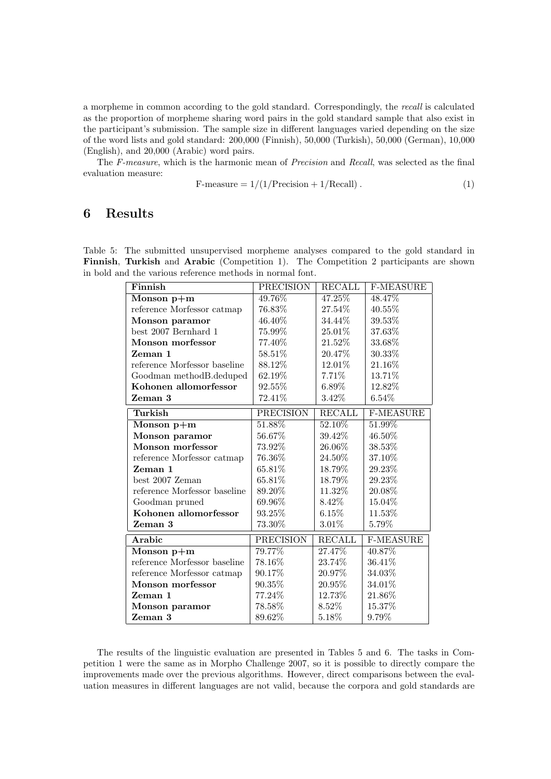a morpheme in common according to the gold standard. Correspondingly, the recall is calculated as the proportion of morpheme sharing word pairs in the gold standard sample that also exist in the participant's submission. The sample size in different languages varied depending on the size of the word lists and gold standard: 200,000 (Finnish), 50,000 (Turkish), 50,000 (German), 10,000 (English), and 20,000 (Arabic) word pairs.

The F-measure, which is the harmonic mean of Precision and Recall, was selected as the final evaluation measure:

$$
F-measure = 1/(1/Precision + 1/Recall). \tag{1}
$$

### 6 Results

Table 5: The submitted unsupervised morpheme analyses compared to the gold standard in Finnish, Turkish and Arabic (Competition 1). The Competition 2 participants are shown in bold and the various reference methods in normal font.

| Finnish                        | <b>PRECISION</b> | <b>RECALL</b> | <b>F-MEASURE</b> |
|--------------------------------|------------------|---------------|------------------|
| $\overline{\text{Monson p+m}}$ | 49.76%           | 47.25%        | 48.47%           |
| reference Morfessor catmap     | 76.83%           | 27.54%        | 40.55%           |
| Monson paramor                 | 46.40%           | 34.44%        | 39.53%           |
| best 2007 Bernhard 1           | $75.99\%$        | 25.01%        | 37.63%           |
| Monson morfessor               | $77.40\%$        | 21.52%        | 33.68%           |
| Zeman 1                        | 58.51%           | 20.47%        | 30.33%           |
| reference Morfessor baseline   | 88.12%           | 12.01%        | 21.16%           |
| Goodman methodB.deduped        | 62.19%           | 7.71%         | 13.71%           |
| Kohonen allomorfessor          | 92.55%           | $6.89\%$      | 12.82%           |
| Zeman 3                        | 72.41%           | 3.42%         | 6.54%            |
| Turkish                        | <b>PRECISION</b> | <b>RECALL</b> | <b>F-MEASURE</b> |
| Monson $p+m$                   | 51.88%           | 52.10%        | 51.99%           |
| Monson paramor                 | 56.67%           | 39.42%        | 46.50%           |
| Monson morfessor               | 73.92%           | 26.06%        | 38.53%           |
| reference Morfessor catmap     | 76.36%           | 24.50%        | 37.10%           |
| Zeman 1                        | 65.81%           | 18.79%        | 29.23%           |
| best 2007 Zeman                | 65.81%           | 18.79%        | 29.23%           |
| reference Morfessor baseline   | 89.20%           | 11.32%        | 20.08%           |
| Goodman pruned                 | 69.96%           | 8.42\%        | 15.04%           |
| Kohonen allomorfessor          | 93.25%           | 6.15%         | 11.53%           |
| Zeman 3                        | 73.30%           | 3.01%         | 5.79%            |
| Arabic                         | <b>PRECISION</b> | <b>RECALL</b> | <b>F-MEASURE</b> |
| Monson $p+m$                   | 79.77%           | 27.47%        | 40.87%           |
| reference Morfessor baseline   | 78.16%           | 23.74%        | 36.41%           |
| reference Morfessor catmap     | 90.17%           | 20.97%        | 34.03%           |
| Monson morfessor               | 90.35%           | $20.95\%$     | 34.01%           |
| Zeman 1                        | 77.24%           | 12.73%        | 21.86%           |
| Monson paramor                 | 78.58%           | 8.52%         | 15.37%           |
| Zeman 3                        | 89.62%           | 5.18%         | 9.79%            |

The results of the linguistic evaluation are presented in Tables 5 and 6. The tasks in Competition 1 were the same as in Morpho Challenge 2007, so it is possible to directly compare the improvements made over the previous algorithms. However, direct comparisons between the evaluation measures in different languages are not valid, because the corpora and gold standards are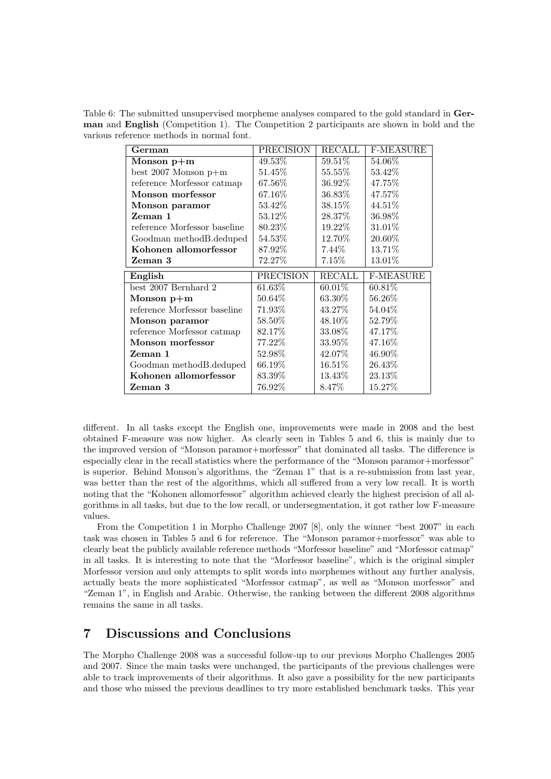Table 6: The submitted unsupervised morpheme analyses compared to the gold standard in German and English (Competition 1). The Competition 2 participants are shown in bold and the various reference methods in normal font.

| German                       | <b>PRECISION</b> | <b>RECALL</b> | <b>F-MEASURE</b> |
|------------------------------|------------------|---------------|------------------|
| Monson $p+m$                 | 49.53%           | 59.51%        | 54.06%           |
| best $2007$ Monson $p+m$     | 51.45%           | $55.55\%$     | 53.42%           |
| reference Morfessor catmap   | 67.56%           | $36.92\%$     | 47.75%           |
| Monson morfessor             | 67.16\%          | $36.83\%$     | 47.57%           |
| Monson paramor               | 53.42%           | 38.15%        | 44.51%           |
| Zeman 1                      | 53.12%           | 28.37%        | $36.98\%$        |
| reference Morfessor baseline | 80.23%           | 19.22%        | 31.01%           |
| Goodman methodB.deduped      | 54.53%           | 12.70%        | 20.60%           |
| Kohonen allomorfessor        | 87.92%           | $7.44\%$      | 13.71%           |
| Zeman 3                      | $72.27\%$        | $7.15\%$      | 13.01%           |
|                              |                  |               |                  |
| English                      | <b>PRECISION</b> | <b>RECALL</b> | <b>F-MEASURE</b> |
| best 2007 Bernhard 2         | 61.63%           | $60.01\%$     | 60.81\%          |
| Monson $p+m$                 | 50.64%           | 63.30\%       | 56.26\%          |
| reference Morfessor baseline | 71.93%           | 43.27\%       | 54.04\%          |
| Monson paramor               | 58.50%           | 48.10%        | 52.79%           |
| reference Morfessor catmap   | 82.17%           | 33.08%        | 47.17%           |
| Monson morfessor             | 77.22%           | 33.95%        | 47.16\%          |
| Zeman 1                      | 52.98%           | 42.07%        | 46.90%           |
| Goodman methodB.deduped      | 66.19%           | 16.51%        | 26.43%           |
| Kohonen allomorfessor        | $83.39\%$        | 13.43\%       | 23.13\%          |

different. In all tasks except the English one, improvements were made in 2008 and the best obtained F-measure was now higher. As clearly seen in Tables 5 and 6, this is mainly due to the improved version of "Monson paramor+morfessor" that dominated all tasks. The difference is especially clear in the recall statistics where the performance of the "Monson paramor+morfessor" is superior. Behind Monson's algorithms, the "Zeman 1" that is a re-submission from last year, was better than the rest of the algorithms, which all suffered from a very low recall. It is worth noting that the "Kohonen allomorfessor" algorithm achieved clearly the highest precision of all algorithms in all tasks, but due to the low recall, or undersegmentation, it got rather low F-measure values.

From the Competition 1 in Morpho Challenge 2007 [8], only the winner "best 2007" in each task was chosen in Tables 5 and 6 for reference. The "Monson paramor+morfessor" was able to clearly beat the publicly available reference methods "Morfessor baseline" and "Morfessor catmap" in all tasks. It is interesting to note that the "Morfessor baseline", which is the original simpler Morfessor version and only attempts to split words into morphemes without any further analysis, actually beats the more sophisticated "Morfessor catmap", as well as "Monson morfessor" and "Zeman 1", in English and Arabic. Otherwise, the ranking between the different 2008 algorithms remains the same in all tasks.

### 7 Discussions and Conclusions

The Morpho Challenge 2008 was a successful follow-up to our previous Morpho Challenges 2005 and 2007. Since the main tasks were unchanged, the participants of the previous challenges were able to track improvements of their algorithms. It also gave a possibility for the new participants and those who missed the previous deadlines to try more established benchmark tasks. This year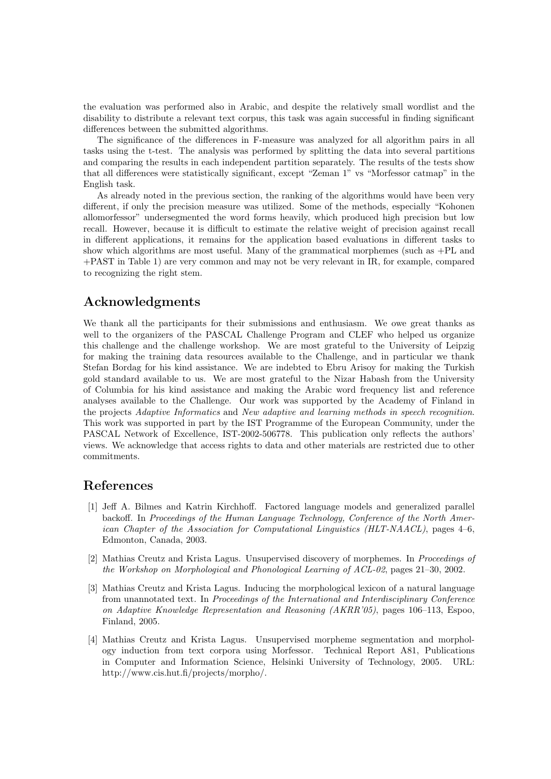the evaluation was performed also in Arabic, and despite the relatively small wordlist and the disability to distribute a relevant text corpus, this task was again successful in finding significant differences between the submitted algorithms.

The significance of the differences in F-measure was analyzed for all algorithm pairs in all tasks using the t-test. The analysis was performed by splitting the data into several partitions and comparing the results in each independent partition separately. The results of the tests show that all differences were statistically significant, except "Zeman 1" vs "Morfessor catmap" in the English task.

As already noted in the previous section, the ranking of the algorithms would have been very different, if only the precision measure was utilized. Some of the methods, especially "Kohonen allomorfessor" undersegmented the word forms heavily, which produced high precision but low recall. However, because it is difficult to estimate the relative weight of precision against recall in different applications, it remains for the application based evaluations in different tasks to show which algorithms are most useful. Many of the grammatical morphemes (such as +PL and +PAST in Table 1) are very common and may not be very relevant in IR, for example, compared to recognizing the right stem.

## Acknowledgments

We thank all the participants for their submissions and enthusiasm. We owe great thanks as well to the organizers of the PASCAL Challenge Program and CLEF who helped us organize this challenge and the challenge workshop. We are most grateful to the University of Leipzig for making the training data resources available to the Challenge, and in particular we thank Stefan Bordag for his kind assistance. We are indebted to Ebru Arisoy for making the Turkish gold standard available to us. We are most grateful to the Nizar Habash from the University of Columbia for his kind assistance and making the Arabic word frequency list and reference analyses available to the Challenge. Our work was supported by the Academy of Finland in the projects Adaptive Informatics and New adaptive and learning methods in speech recognition. This work was supported in part by the IST Programme of the European Community, under the PASCAL Network of Excellence, IST-2002-506778. This publication only reflects the authors' views. We acknowledge that access rights to data and other materials are restricted due to other commitments.

### References

- [1] Jeff A. Bilmes and Katrin Kirchhoff. Factored language models and generalized parallel backoff. In Proceedings of the Human Language Technology, Conference of the North American Chapter of the Association for Computational Linguistics (HLT-NAACL), pages 4–6, Edmonton, Canada, 2003.
- [2] Mathias Creutz and Krista Lagus. Unsupervised discovery of morphemes. In Proceedings of the Workshop on Morphological and Phonological Learning of ACL-02, pages 21–30, 2002.
- [3] Mathias Creutz and Krista Lagus. Inducing the morphological lexicon of a natural language from unannotated text. In Proceedings of the International and Interdisciplinary Conference on Adaptive Knowledge Representation and Reasoning (AKRR'05), pages 106–113, Espoo, Finland, 2005.
- [4] Mathias Creutz and Krista Lagus. Unsupervised morpheme segmentation and morphology induction from text corpora using Morfessor. Technical Report A81, Publications in Computer and Information Science, Helsinki University of Technology, 2005. URL: http://www.cis.hut.fi/projects/morpho/.